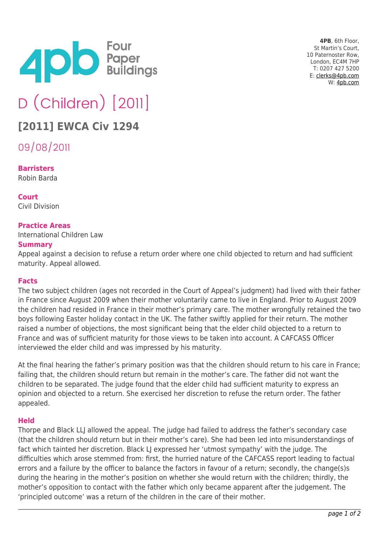

**4PB**, 6th Floor, St Martin's Court, 10 Paternoster Row, London, EC4M 7HP T: 0207 427 5200 E: [clerks@4pb.com](mailto:clerks@4pb.com) W: [4pb.com](http://4pb.com)

# D (Children) [2011]

# **[2011] EWCA Civ 1294**

09/08/2011

**Barristers** Robin Barda

**Court** Civil Division

# **Practice Areas**

International Children Law

#### **Summary**

Appeal against a decision to refuse a return order where one child objected to return and had sufficient maturity. Appeal allowed.

## **Facts**

The two subject children (ages not recorded in the Court of Appeal's judgment) had lived with their father in France since August 2009 when their mother voluntarily came to live in England. Prior to August 2009 the children had resided in France in their mother's primary care. The mother wrongfully retained the two boys following Easter holiday contact in the UK. The father swiftly applied for their return. The mother raised a number of objections, the most significant being that the elder child objected to a return to France and was of sufficient maturity for those views to be taken into account. A CAFCASS Officer interviewed the elder child and was impressed by his maturity.

At the final hearing the father's primary position was that the children should return to his care in France; failing that, the children should return but remain in the mother's care. The father did not want the children to be separated. The judge found that the elder child had sufficient maturity to express an opinion and objected to a return. She exercised her discretion to refuse the return order. The father appealed.

## **Held**

Thorpe and Black LLJ allowed the appeal. The judge had failed to address the father's secondary case (that the children should return but in their mother's care). She had been led into misunderstandings of fact which tainted her discretion. Black LJ expressed her 'utmost sympathy' with the judge. The difficulties which arose stemmed from: first, the hurried nature of the CAFCASS report leading to factual errors and a failure by the officer to balance the factors in favour of a return; secondly, the change(s)s during the hearing in the mother's position on whether she would return with the children; thirdly, the mother's opposition to contact with the father which only became apparent after the judgement. The 'principled outcome' was a return of the children in the care of their mother.